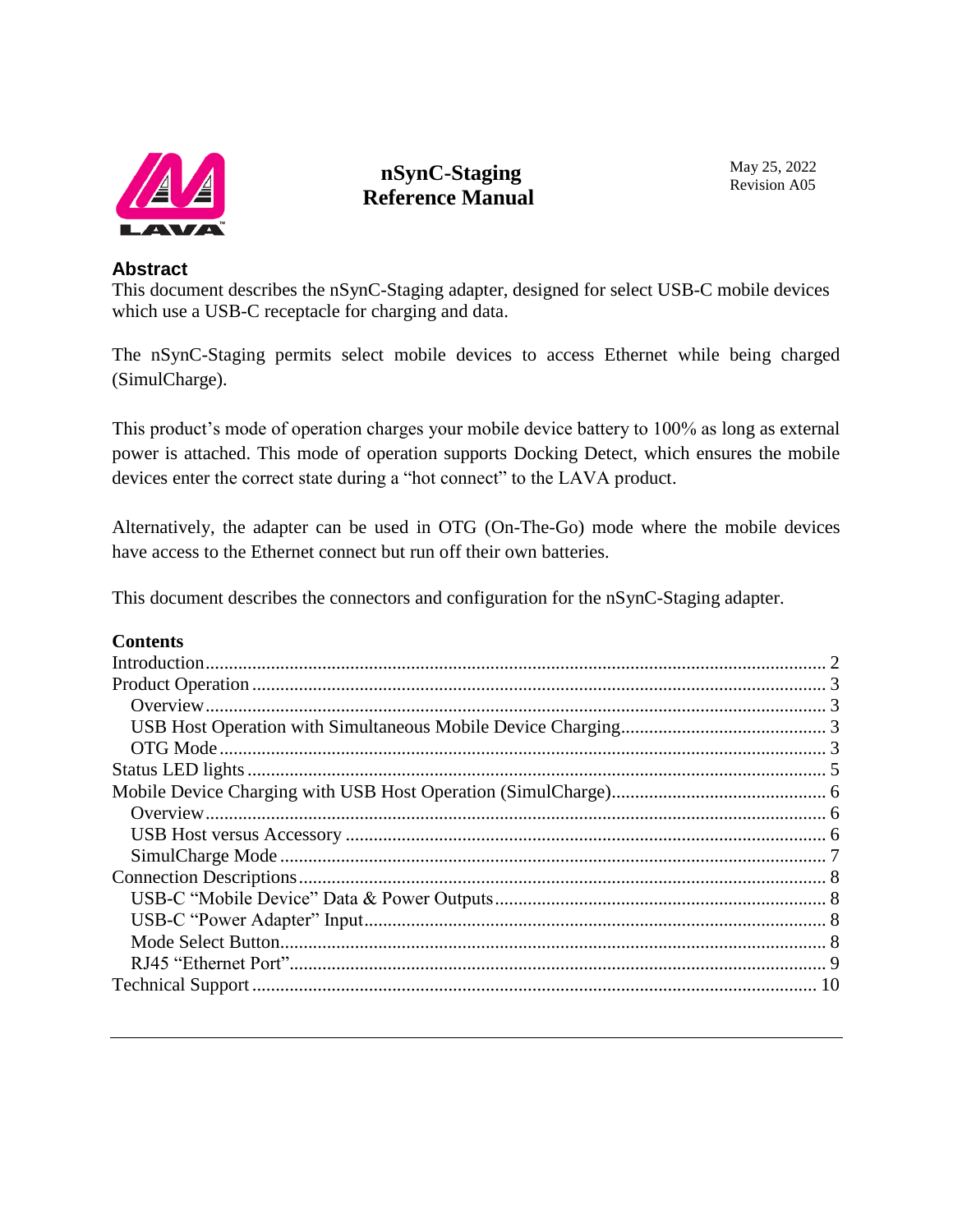

# **nSynC-Staging Reference Manual**

#### **Abstract**

This document describes the nSynC-Staging adapter, designed for select USB-C mobile devices which use a USB-C receptacle for charging and data.

The nSynC-Staging permits select mobile devices to access Ethernet while being charged (SimulCharge).

This product's mode of operation charges your mobile device battery to 100% as long as external power is attached. This mode of operation supports Docking Detect, which ensures the mobile devices enter the correct state during a "hot connect" to the LAVA product.

Alternatively, the adapter can be used in OTG (On-The-Go) mode where the mobile devices have access to the Ethernet connect but run off their own batteries.

This document describes the connectors and configuration for the nSynC-Staging adapter.

### **Contents**

<span id="page-0-0"></span>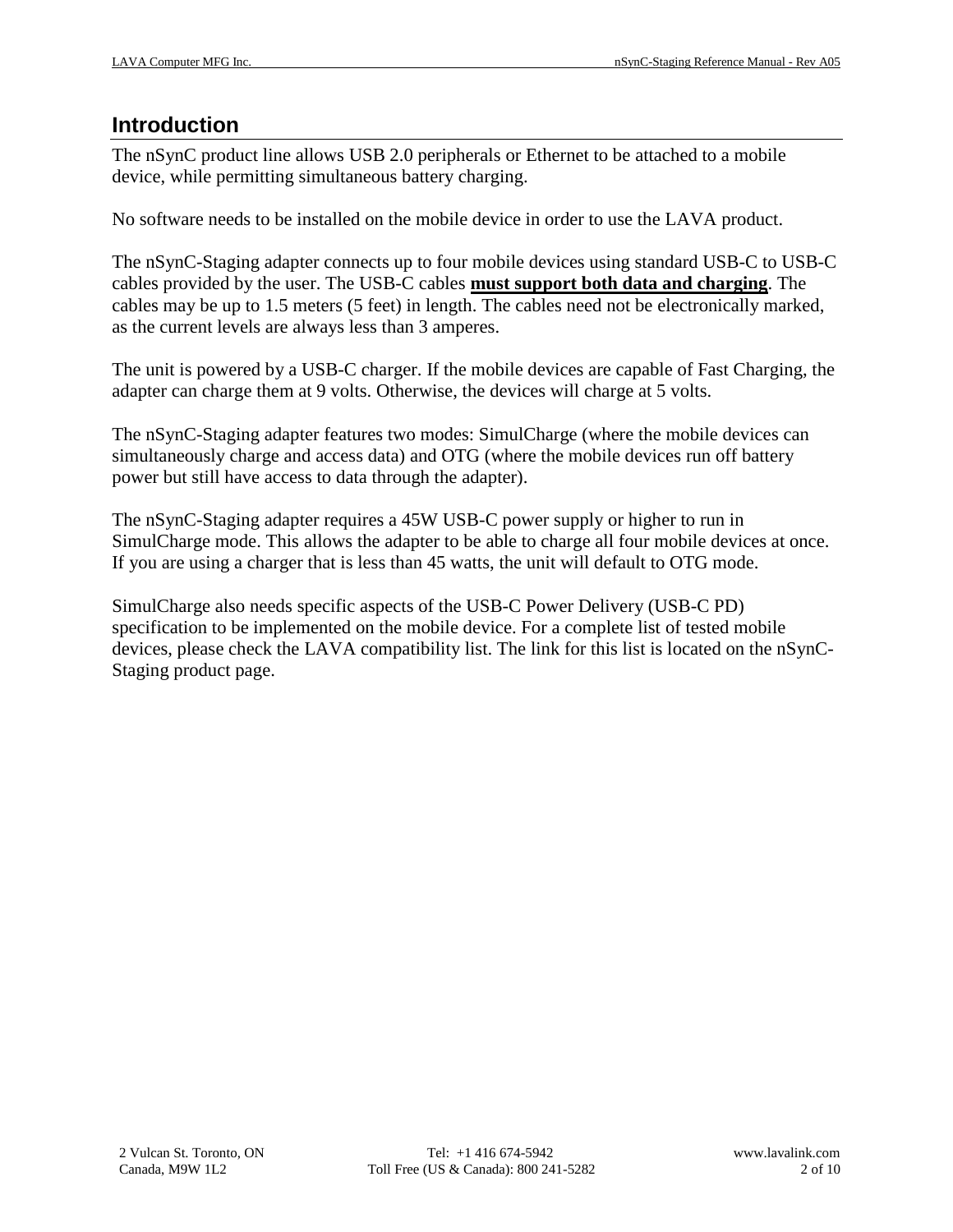## **Introduction**

The nSynC product line allows USB 2.0 peripherals or Ethernet to be attached to a mobile device, while permitting simultaneous battery charging.

No software needs to be installed on the mobile device in order to use the LAVA product.

The nSynC-Staging adapter connects up to four mobile devices using standard USB-C to USB-C cables provided by the user. The USB-C cables **must support both data and charging**. The cables may be up to 1.5 meters (5 feet) in length. The cables need not be electronically marked, as the current levels are always less than 3 amperes.

The unit is powered by a USB-C charger. If the mobile devices are capable of Fast Charging, the adapter can charge them at 9 volts. Otherwise, the devices will charge at 5 volts.

The nSynC-Staging adapter features two modes: SimulCharge (where the mobile devices can simultaneously charge and access data) and OTG (where the mobile devices run off battery power but still have access to data through the adapter).

The nSynC-Staging adapter requires a 45W USB-C power supply or higher to run in SimulCharge mode. This allows the adapter to be able to charge all four mobile devices at once. If you are using a charger that is less than 45 watts, the unit will default to OTG mode.

SimulCharge also needs specific aspects of the USB-C Power Delivery (USB-C PD) specification to be implemented on the mobile device. For a complete list of tested mobile devices, please check the LAVA compatibility list. The link for this list is located on the nSynC-Staging product page.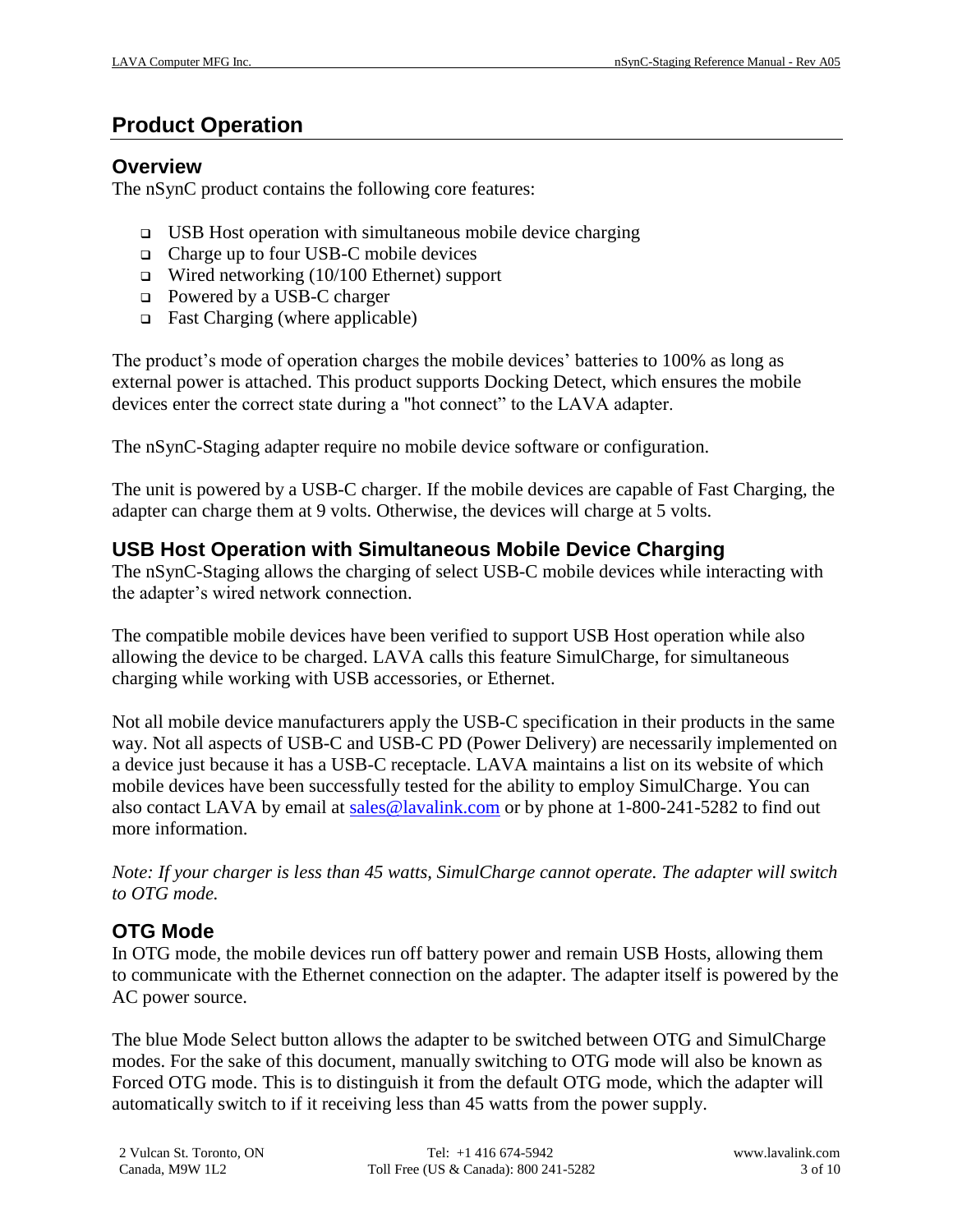# <span id="page-2-0"></span>**Product Operation**

### <span id="page-2-1"></span>**Overview**

The nSynC product contains the following core features:

- $\Box$  USB Host operation with simultaneous mobile device charging
- $\Box$  Charge up to four USB-C mobile devices
- $\Box$  Wired networking (10/100 Ethernet) support
- □ Powered by a USB-C charger
- $\Box$  Fast Charging (where applicable)

The product's mode of operation charges the mobile devices' batteries to 100% as long as external power is attached. This product supports Docking Detect, which ensures the mobile devices enter the correct state during a "hot connect" to the LAVA adapter.

The nSynC-Staging adapter require no mobile device software or configuration.

The unit is powered by a USB-C charger. If the mobile devices are capable of Fast Charging, the adapter can charge them at 9 volts. Otherwise, the devices will charge at 5 volts.

# <span id="page-2-2"></span>**USB Host Operation with Simultaneous Mobile Device Charging**

The nSynC-Staging allows the charging of select USB-C mobile devices while interacting with the adapter's wired network connection.

The compatible mobile devices have been verified to support USB Host operation while also allowing the device to be charged. LAVA calls this feature SimulCharge, for simultaneous charging while working with USB accessories, or Ethernet.

Not all mobile device manufacturers apply the USB-C specification in their products in the same way. Not all aspects of USB-C and USB-C PD (Power Delivery) are necessarily implemented on a device just because it has a USB-C receptacle. LAVA maintains a list on its website of which mobile devices have been successfully tested for the ability to employ SimulCharge. You can also contact LAVA by email at [sales@lavalink.com](mailto:sales@lavalink.com) or by phone at 1-800-241-5282 to find out more information.

*Note: If your charger is less than 45 watts, SimulCharge cannot operate. The adapter will switch to OTG mode.* 

# <span id="page-2-3"></span>**OTG Mode**

In OTG mode, the mobile devices run off battery power and remain USB Hosts, allowing them to communicate with the Ethernet connection on the adapter. The adapter itself is powered by the AC power source.

The blue Mode Select button allows the adapter to be switched between OTG and SimulCharge modes. For the sake of this document, manually switching to OTG mode will also be known as Forced OTG mode. This is to distinguish it from the default OTG mode, which the adapter will automatically switch to if it receiving less than 45 watts from the power supply.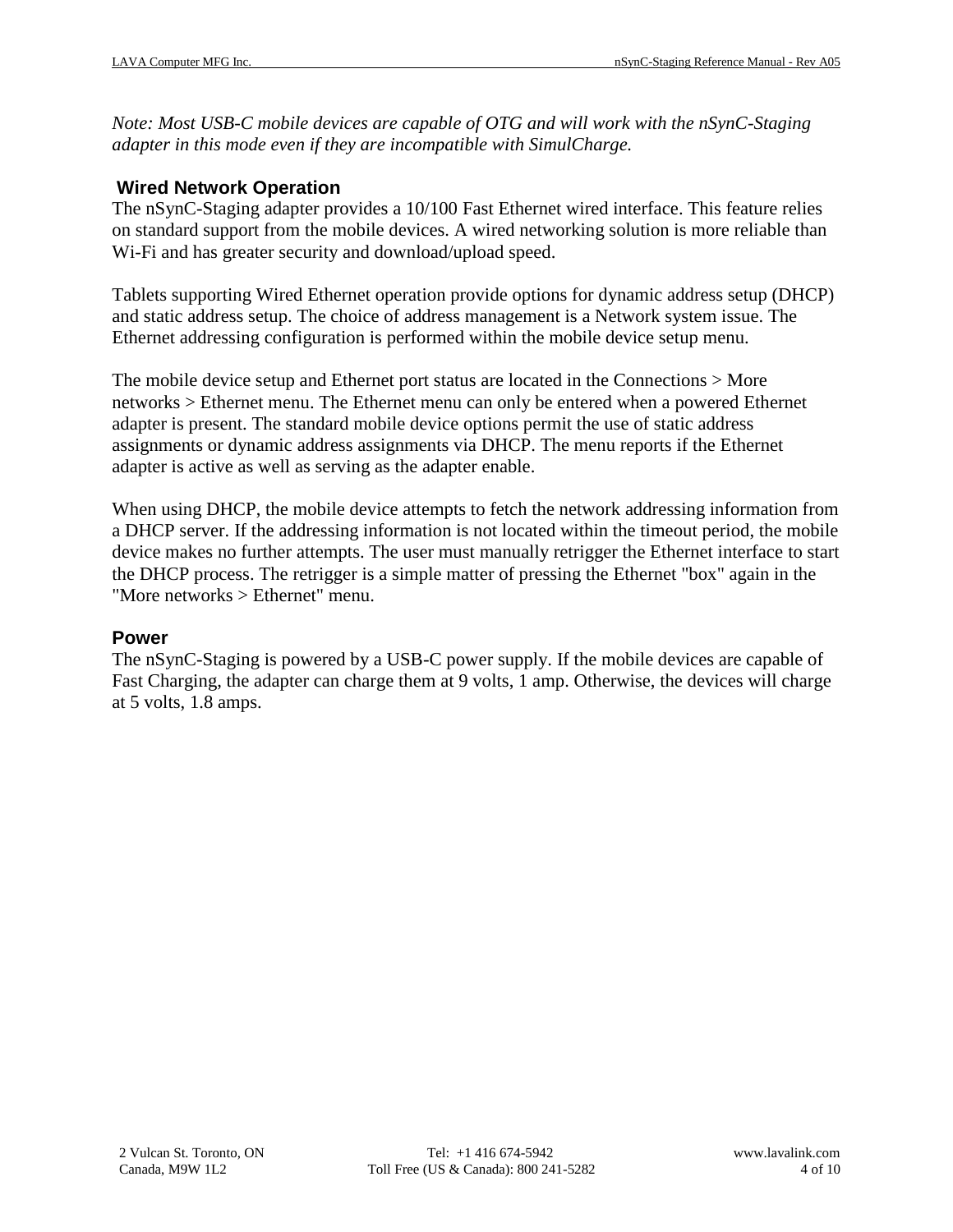*Note: Most USB-C mobile devices are capable of OTG and will work with the nSynC-Staging adapter in this mode even if they are incompatible with SimulCharge.*

#### **Wired Network Operation**

The nSynC-Staging adapter provides a 10/100 Fast Ethernet wired interface. This feature relies on standard support from the mobile devices. A wired networking solution is more reliable than Wi-Fi and has greater security and download/upload speed.

Tablets supporting Wired Ethernet operation provide options for dynamic address setup (DHCP) and static address setup. The choice of address management is a Network system issue. The Ethernet addressing configuration is performed within the mobile device setup menu.

The mobile device setup and Ethernet port status are located in the Connections > More networks > Ethernet menu. The Ethernet menu can only be entered when a powered Ethernet adapter is present. The standard mobile device options permit the use of static address assignments or dynamic address assignments via DHCP. The menu reports if the Ethernet adapter is active as well as serving as the adapter enable.

When using DHCP, the mobile device attempts to fetch the network addressing information from a DHCP server. If the addressing information is not located within the timeout period, the mobile device makes no further attempts. The user must manually retrigger the Ethernet interface to start the DHCP process. The retrigger is a simple matter of pressing the Ethernet "box" again in the "More networks > Ethernet" menu.

### **Power**

The nSynC-Staging is powered by a USB-C power supply. If the mobile devices are capable of Fast Charging, the adapter can charge them at 9 volts, 1 amp. Otherwise, the devices will charge at 5 volts, 1.8 amps.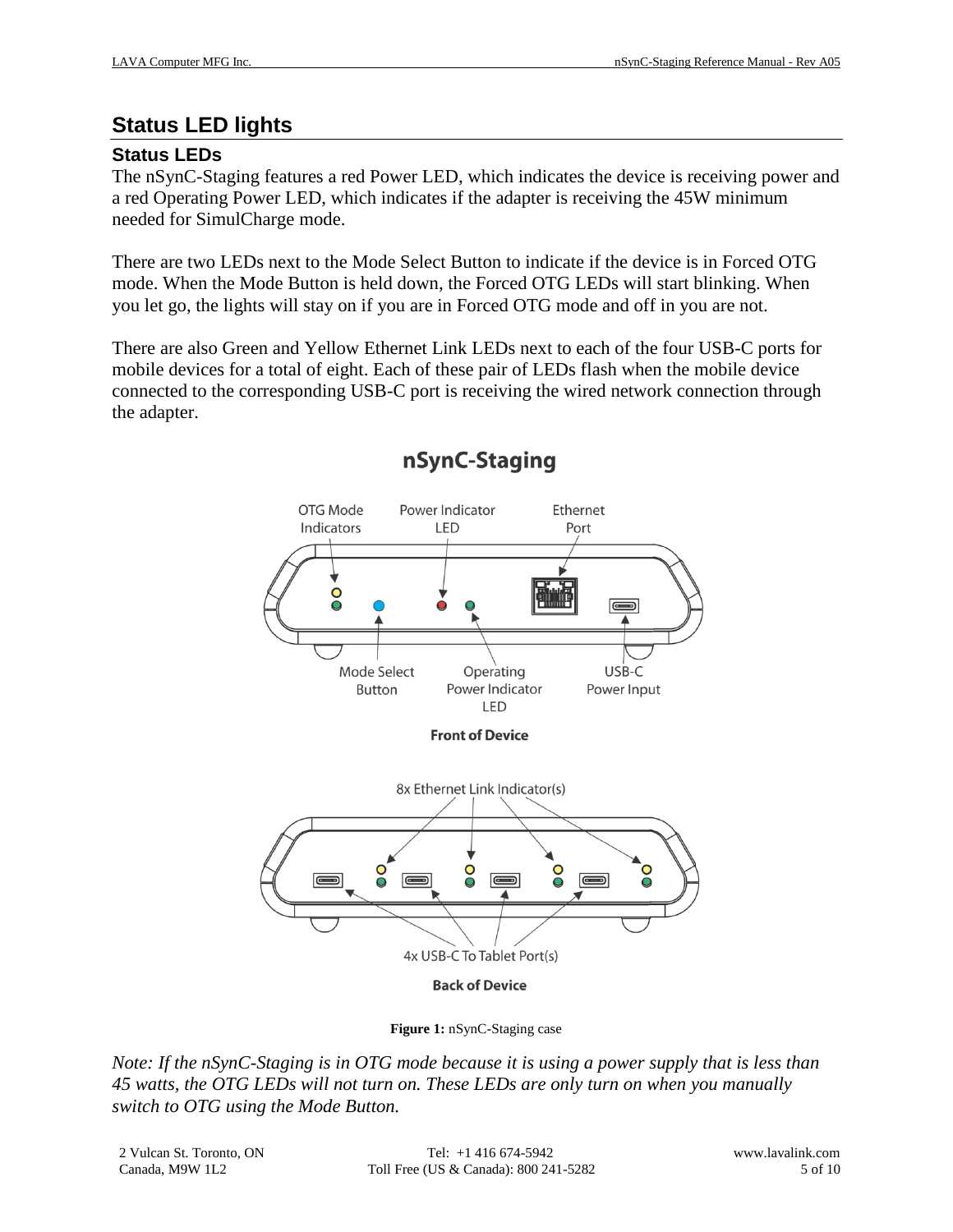# <span id="page-4-0"></span>**Status LED lights**

## **Status LEDs**

The nSynC-Staging features a red Power LED, which indicates the device is receiving power and a red Operating Power LED, which indicates if the adapter is receiving the 45W minimum needed for SimulCharge mode.

There are two LEDs next to the Mode Select Button to indicate if the device is in Forced OTG mode. When the Mode Button is held down, the Forced OTG LEDs will start blinking. When you let go, the lights will stay on if you are in Forced OTG mode and off in you are not.

There are also Green and Yellow Ethernet Link LEDs next to each of the four USB-C ports for mobile devices for a total of eight. Each of these pair of LEDs flash when the mobile device connected to the corresponding USB-C port is receiving the wired network connection through the adapter.



# nSynC-Staging

**Figure 1:** nSynC-Staging case

*Note: If the nSynC-Staging is in OTG mode because it is using a power supply that is less than 45 watts, the OTG LEDs will not turn on. These LEDs are only turn on when you manually switch to OTG using the Mode Button.*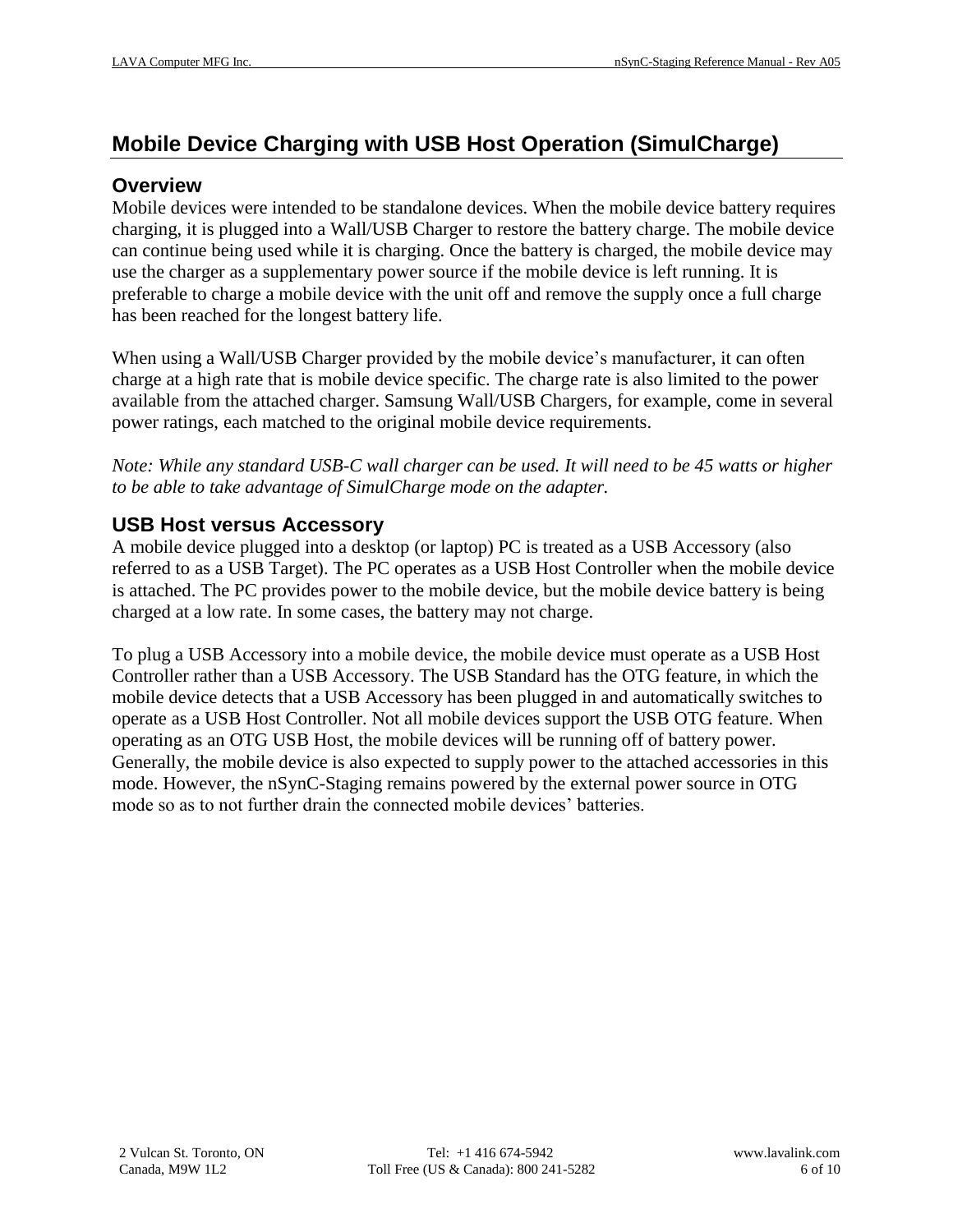# <span id="page-5-0"></span>**Mobile Device Charging with USB Host Operation (SimulCharge)**

### <span id="page-5-1"></span>**Overview**

Mobile devices were intended to be standalone devices. When the mobile device battery requires charging, it is plugged into a Wall/USB Charger to restore the battery charge. The mobile device can continue being used while it is charging. Once the battery is charged, the mobile device may use the charger as a supplementary power source if the mobile device is left running. It is preferable to charge a mobile device with the unit off and remove the supply once a full charge has been reached for the longest battery life.

When using a Wall/USB Charger provided by the mobile device's manufacturer, it can often charge at a high rate that is mobile device specific. The charge rate is also limited to the power available from the attached charger. Samsung Wall/USB Chargers, for example, come in several power ratings, each matched to the original mobile device requirements.

*Note: While any standard USB-C wall charger can be used. It will need to be 45 watts or higher to be able to take advantage of SimulCharge mode on the adapter.* 

## <span id="page-5-2"></span>**USB Host versus Accessory**

A mobile device plugged into a desktop (or laptop) PC is treated as a USB Accessory (also referred to as a USB Target). The PC operates as a USB Host Controller when the mobile device is attached. The PC provides power to the mobile device, but the mobile device battery is being charged at a low rate. In some cases, the battery may not charge.

To plug a USB Accessory into a mobile device, the mobile device must operate as a USB Host Controller rather than a USB Accessory. The USB Standard has the OTG feature, in which the mobile device detects that a USB Accessory has been plugged in and automatically switches to operate as a USB Host Controller. Not all mobile devices support the USB OTG feature. When operating as an OTG USB Host, the mobile devices will be running off of battery power. Generally, the mobile device is also expected to supply power to the attached accessories in this mode. However, the nSynC-Staging remains powered by the external power source in OTG mode so as to not further drain the connected mobile devices' batteries.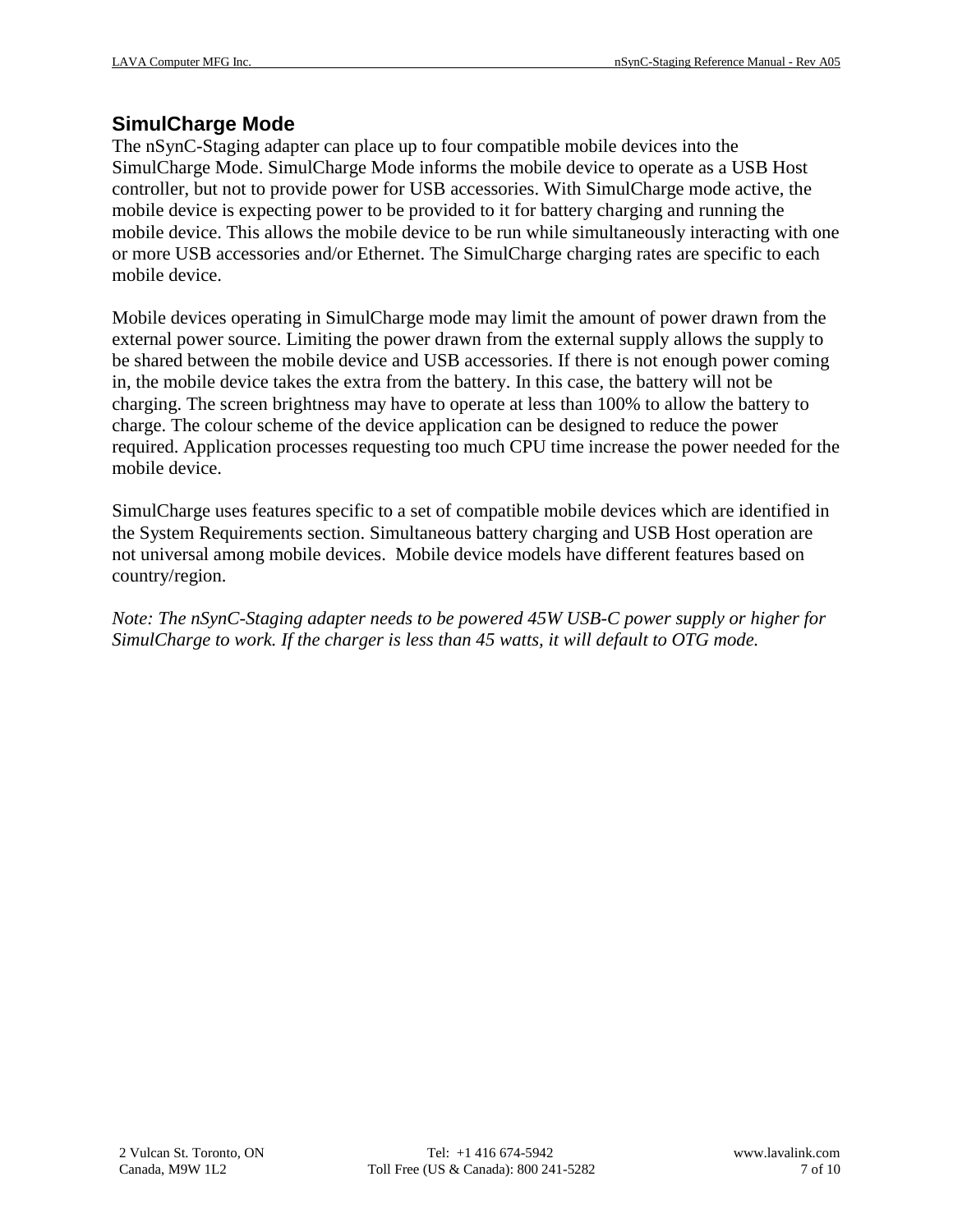### <span id="page-6-0"></span>**SimulCharge Mode**

The nSynC-Staging adapter can place up to four compatible mobile devices into the SimulCharge Mode. SimulCharge Mode informs the mobile device to operate as a USB Host controller, but not to provide power for USB accessories. With SimulCharge mode active, the mobile device is expecting power to be provided to it for battery charging and running the mobile device. This allows the mobile device to be run while simultaneously interacting with one or more USB accessories and/or Ethernet. The SimulCharge charging rates are specific to each mobile device.

Mobile devices operating in SimulCharge mode may limit the amount of power drawn from the external power source. Limiting the power drawn from the external supply allows the supply to be shared between the mobile device and USB accessories. If there is not enough power coming in, the mobile device takes the extra from the battery. In this case, the battery will not be charging. The screen brightness may have to operate at less than 100% to allow the battery to charge. The colour scheme of the device application can be designed to reduce the power required. Application processes requesting too much CPU time increase the power needed for the mobile device.

SimulCharge uses features specific to a set of compatible mobile devices which are identified in the System Requirements section. Simultaneous battery charging and USB Host operation are not universal among mobile devices. Mobile device models have different features based on country/region.

*Note: The nSynC-Staging adapter needs to be powered 45W USB-C power supply or higher for SimulCharge to work. If the charger is less than 45 watts, it will default to OTG mode.*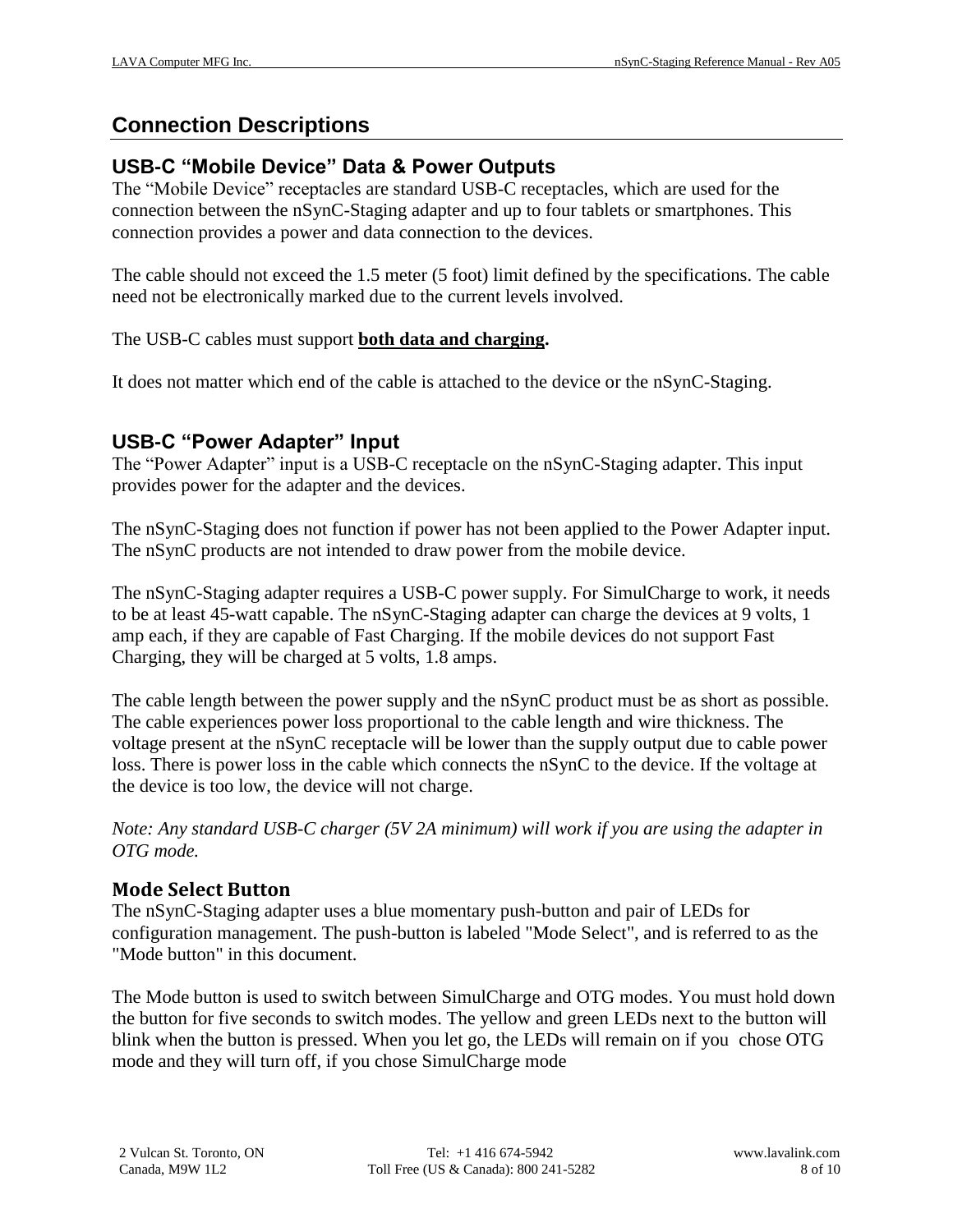# <span id="page-7-0"></span>**Connection Descriptions**

## <span id="page-7-1"></span>**USB-C "Mobile Device" Data & Power Outputs**

The "Mobile Device" receptacles are standard USB-C receptacles, which are used for the connection between the nSynC-Staging adapter and up to four tablets or smartphones. This connection provides a power and data connection to the devices.

The cable should not exceed the 1.5 meter (5 foot) limit defined by the specifications. The cable need not be electronically marked due to the current levels involved.

#### The USB-C cables must support **both data and charging.**

It does not matter which end of the cable is attached to the device or the nSynC-Staging.

### <span id="page-7-2"></span>**USB-C "Power Adapter" Input**

The "Power Adapter" input is a USB-C receptacle on the nSynC-Staging adapter. This input provides power for the adapter and the devices.

The nSynC-Staging does not function if power has not been applied to the Power Adapter input. The nSynC products are not intended to draw power from the mobile device.

The nSynC-Staging adapter requires a USB-C power supply. For SimulCharge to work, it needs to be at least 45-watt capable. The nSynC-Staging adapter can charge the devices at 9 volts, 1 amp each, if they are capable of Fast Charging. If the mobile devices do not support Fast Charging, they will be charged at 5 volts, 1.8 amps.

The cable length between the power supply and the nSynC product must be as short as possible. The cable experiences power loss proportional to the cable length and wire thickness. The voltage present at the nSynC receptacle will be lower than the supply output due to cable power loss. There is power loss in the cable which connects the nSynC to the device. If the voltage at the device is too low, the device will not charge.

*Note: Any standard USB-C charger (5V 2A minimum) will work if you are using the adapter in OTG mode.*

### <span id="page-7-3"></span>**Mode Select Button**

The nSynC-Staging adapter uses a blue momentary push-button and pair of LEDs for configuration management. The push-button is labeled "Mode Select", and is referred to as the "Mode button" in this document.

The Mode button is used to switch between SimulCharge and OTG modes. You must hold down the button for five seconds to switch modes. The yellow and green LEDs next to the button will blink when the button is pressed. When you let go, the LEDs will remain on if you chose OTG mode and they will turn off, if you chose SimulCharge mode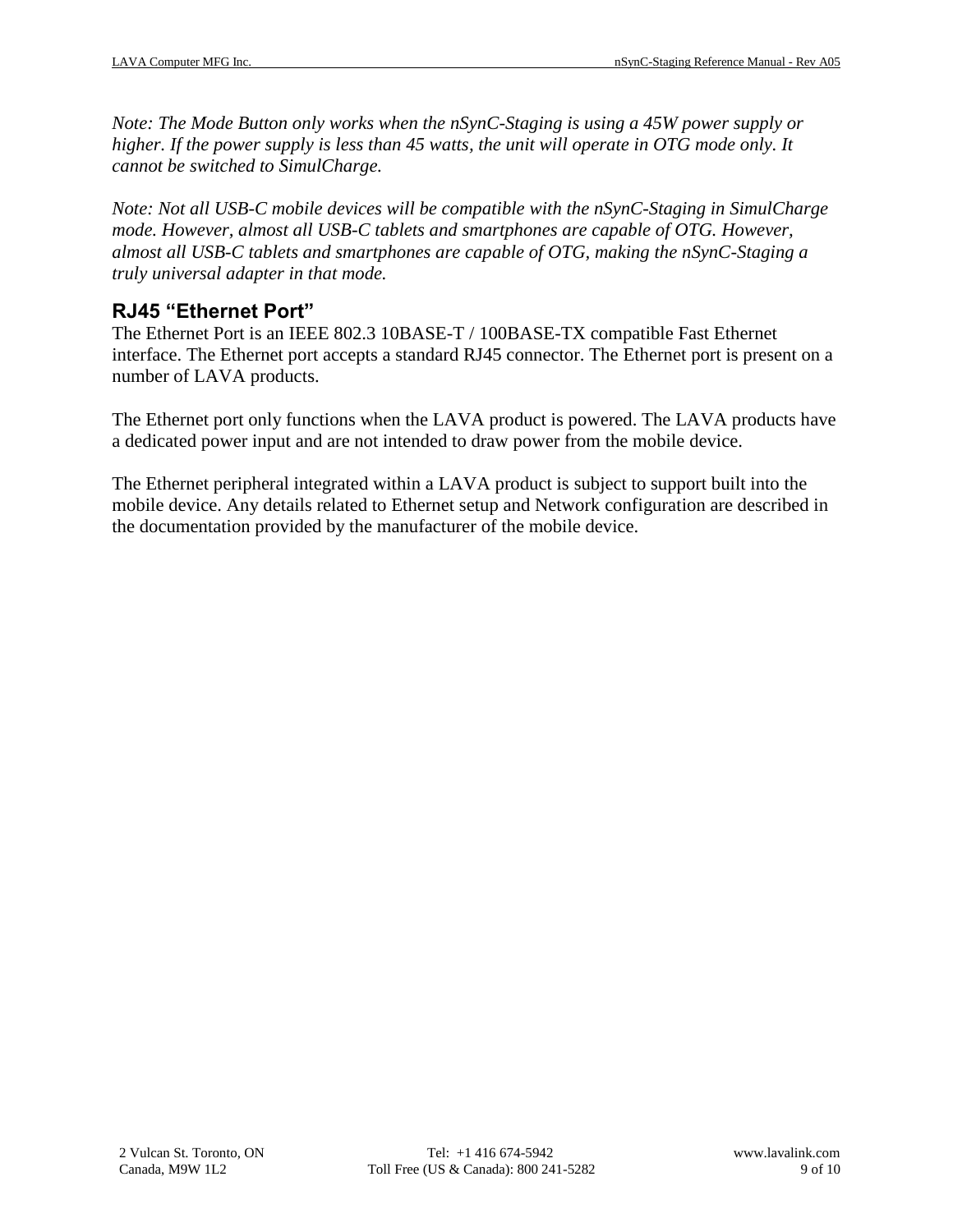*Note: The Mode Button only works when the nSynC-Staging is using a 45W power supply or higher. If the power supply is less than 45 watts, the unit will operate in OTG mode only. It cannot be switched to SimulCharge.*

*Note: Not all USB-C mobile devices will be compatible with the nSynC-Staging in SimulCharge mode. However, almost all USB-C tablets and smartphones are capable of OTG. However, almost all USB-C tablets and smartphones are capable of OTG, making the nSynC-Staging a truly universal adapter in that mode.*

### <span id="page-8-0"></span>**RJ45 "Ethernet Port"**

The Ethernet Port is an IEEE 802.3 10BASE-T / 100BASE-TX compatible Fast Ethernet interface. The Ethernet port accepts a standard RJ45 connector. The Ethernet port is present on a number of LAVA products.

The Ethernet port only functions when the LAVA product is powered. The LAVA products have a dedicated power input and are not intended to draw power from the mobile device.

The Ethernet peripheral integrated within a LAVA product is subject to support built into the mobile device. Any details related to Ethernet setup and Network configuration are described in the documentation provided by the manufacturer of the mobile device.